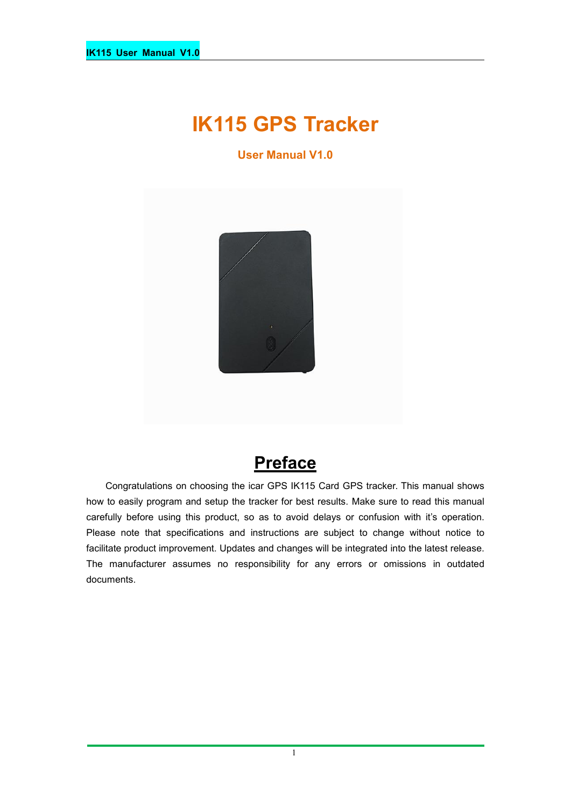# **IK115 GPS Tracker**

**User Manual V1.0**



# **Preface**

Congratulations on choosing the icar GPS IK115 Card GPS tracker. This manual shows how to easily program and setup the tracker for best results. Make sure to read this manual carefully before using this product, so as to avoid delays or confusion with it's operation. Please note that specifications and instructions are subject to change without notice to facilitate product improvement. Updates and changes will be integrated into the latest release. The manufacturer assumes no responsibility for any errors or omissions in outdated documents.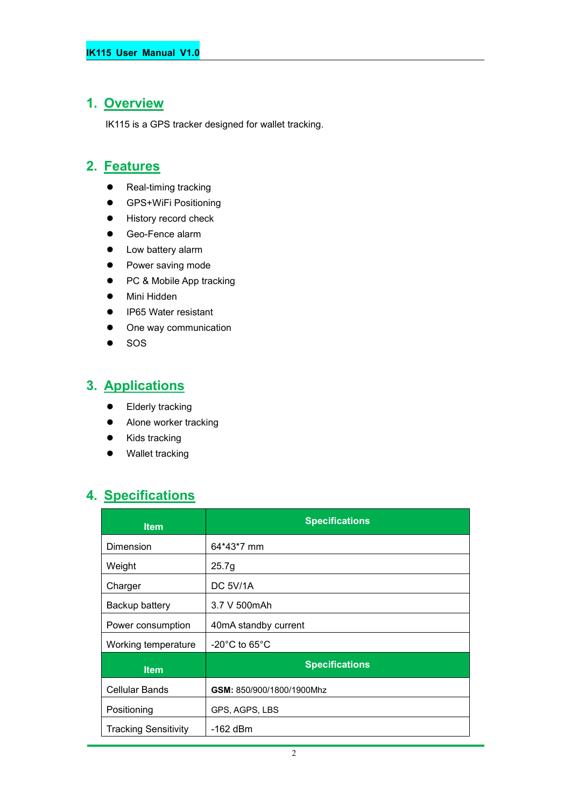### **1. Overview**

IK115 is a GPS tracker designed for wallet tracking.

# **2. Features**

- Real-timing tracking
- **•** GPS+WiFi Positioning
- **•** History record check
- Geo-Fence alarm
- Low battery alarm
- Power saving mode
- PC & Mobile App tracking
- Mini Hidden
- IP65 Water resistant
- One way communication
- $\bullet$  SOS

# **3. Applications**

- **•** Elderly tracking
- Alone worker tracking
- Kids tracking
- Wallet tracking

### **4. Specifications**

| <b>Item</b>                 | <b>Specifications</b>              |
|-----------------------------|------------------------------------|
| Dimension                   | 64*43*7 mm                         |
| Weight                      | 25.7g                              |
| Charger                     | <b>DC 5V/1A</b>                    |
| Backup battery              | 3.7 V 500 mAh                      |
| Power consumption           | 40mA standby current               |
| Working temperature         | $-20^{\circ}$ C to 65 $^{\circ}$ C |
| <b>Item</b>                 | <b>Specifications</b>              |
| <b>Cellular Bands</b>       | GSM: 850/900/1800/1900Mhz          |
| Positioning                 | GPS, AGPS, LBS                     |
| <b>Tracking Sensitivity</b> | -162 dBm                           |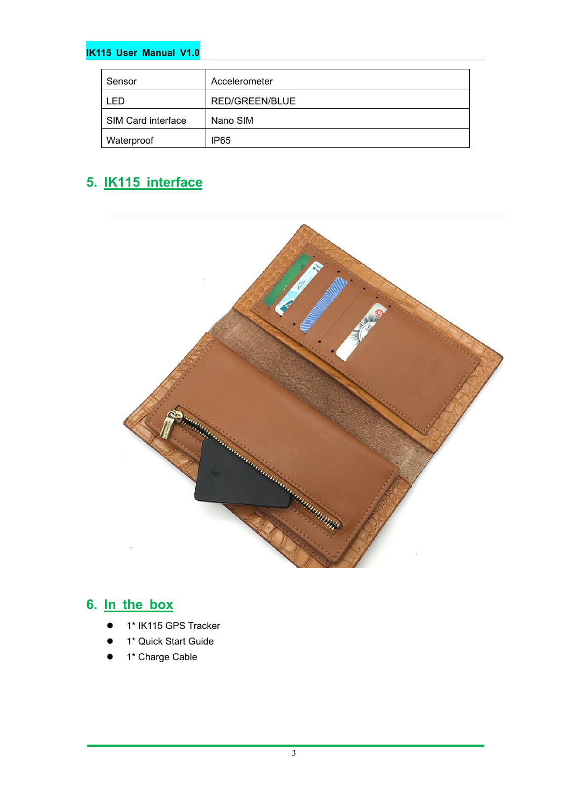#### **IK115 User Manual V1.0**

| Sensor             | Accelerometer    |
|--------------------|------------------|
| -ED                | RED/GREEN/BLUE   |
| SIM Card interface | Nano SIM         |
| Waterproof         | IP <sub>65</sub> |

# **5. IK115 interface**



### **6. In the box**

- 1\* IK115 GPS Tracker
- 1\* Quick Start Guide
- 1\* Charge Cable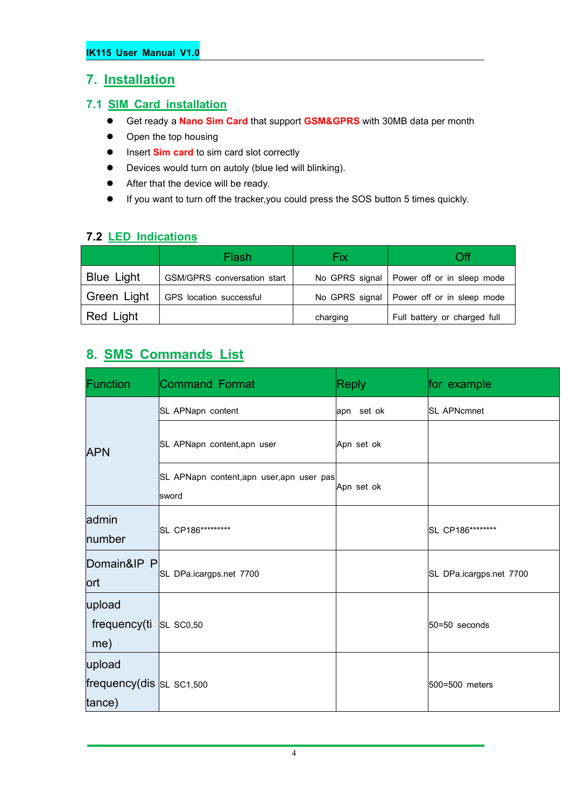### **7. Installation**

#### **7.1 SIM Card installation**

- Get ready a **Nano Sim Card** that support **GSM&GPRS** with 30MB data per month
- Open the top housing
- **Insert Sim card** to sim card slot correctly
- Devices would turn on autoly (blue led will blinking).
- After that the device will be ready.
- If you want to turn off the tracker,you could press the SOS button 5 times quickly.

#### **7.2 LED Indications**

|                   | Flash                       | Fix      | Dff                                         |
|-------------------|-----------------------------|----------|---------------------------------------------|
| <b>Blue Light</b> | GSM/GPRS conversation start |          | No GPRS signal   Power off or in sleep mode |
| Green Light       | GPS location successful     |          | No GPRS signal   Power off or in sleep mode |
| Red Light         |                             | charging | Full battery or charged full                |

### **8. SMS Commands List**

| Function                                       | Command Format                                     | <b>Reply</b> | for example             |
|------------------------------------------------|----------------------------------------------------|--------------|-------------------------|
|                                                | SL APNapn content                                  | apn set ok   | <b>SL APNcmnet</b>      |
| <b>APN</b>                                     | SL APNapn content, apn user                        | Apn set ok   |                         |
|                                                | SL APNapn content, apn user, apn user pas<br>sword | Apn set ok   |                         |
| admin<br>number                                | SL CP186*********                                  |              | SL CP186********        |
| Domain&IP P<br><b>ort</b>                      | SL DPa.icargps.net 7700                            |              | SL DPa.icargps.net 7700 |
| upload<br>frequency(ti<br>me)                  | <b>SL SC0,50</b>                                   |              | $50 = 50$ seconds       |
| upload<br>frequency(dis $SL$ SC1,500<br>tance) |                                                    |              | 500=500 meters          |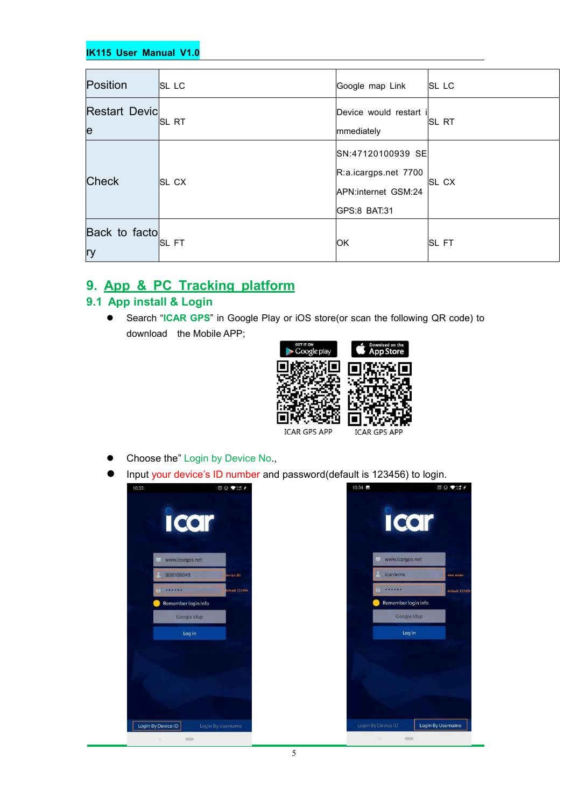#### **IK115 User Manual V1.0**

| Position                   | <b>SL LC</b>  | Google map Link                                                                  | <b>SL LC</b> |
|----------------------------|---------------|----------------------------------------------------------------------------------|--------------|
| <b>Restart Devic</b><br>le | <b>ISL RT</b> | Device would restart i<br>mmediately                                             | <b>SL RT</b> |
| <b>Check</b>               | <b>SL CX</b>  | SN:47120100939 SE<br>R:a.icargps.net 7700<br>APN:internet GSM:24<br>GPS:8 BAT:31 | SL CX        |
| Back to facto<br><b>ry</b> | <b>ISL FT</b> | <b>IOK</b>                                                                       | <b>SL FT</b> |

### **9. App & PC Tracking platform**

#### **9.1 App install & Login**

 Search "**ICAR GPS**" in Google Play or iOS store(or scan the following QR code) to download the Mobile APP;



- Choose the" Login by Device No.,
- Input your device's ID number and password(default is 123456) to login.

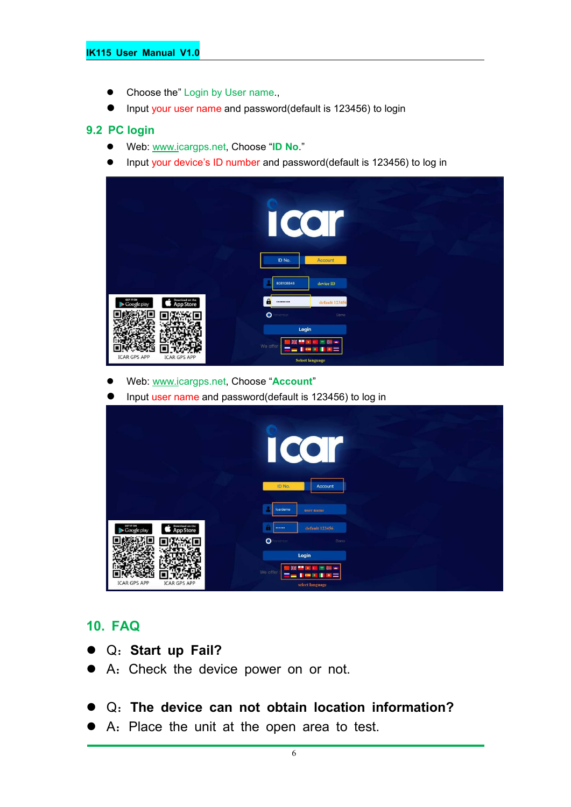#### **IK115 User Manual V1.0**

- Choose the" Login by User name.,
- Input your user name and password(default is 123456) to login

#### **9.2 PC login**

- Web: [www.ic](http://www.trackits.com)argps.net, Choose "**ID No**."
- Input your device's ID number and password(default is 123456) to log in

|                                                          | $\bullet$<br>O<br>ID No.<br>Account                                                   |  |
|----------------------------------------------------------|---------------------------------------------------------------------------------------|--|
|                                                          | $\operatorname{device}$ ID<br>808108848                                               |  |
| Download on the<br>App Store<br>GET IT ON<br>Google play | $\mathbf{a}$<br>default 123456<br>                                                    |  |
|                                                          | $\bullet$<br>imember<br>Demo                                                          |  |
| <b>ICAR GPS APP</b><br><b>ICAR GPS APP</b>               | Login<br>m in<br>We offer<br>⋿<br>я<br>责<br><b>COM</b><br>ш<br><b>Select language</b> |  |

- Web: [www.ic](http://www.trackits.com)argps.net, Choose "**Account**"
- Input user name and password(default is 123456) to log in

|                                                                 | I<br>$\overline{\mathcal{C}}$<br>$\bullet$<br>O                       |  |
|-----------------------------------------------------------------|-----------------------------------------------------------------------|--|
|                                                                 | ID No.<br>Account                                                     |  |
|                                                                 | icardemo<br>user name                                                 |  |
| GET IT ON<br>Download on the<br>App Store<br>Google play<br>- 5 | default 123456<br><br>$\bullet$<br>eminism<br>Demo                    |  |
| <b>ICAR GPS APP</b><br><b>ICAR GPS APP</b>                      | Login<br>÷<br>疆<br>꾩<br>a.<br>744<br>We offer<br>=<br>select language |  |

### **10. FAQ**

- Q:**Start up Fail?**
- A:Check the device power on or not.
- Q:**The device can notobtain location information?**
- A: Place the unit at the open area to test.